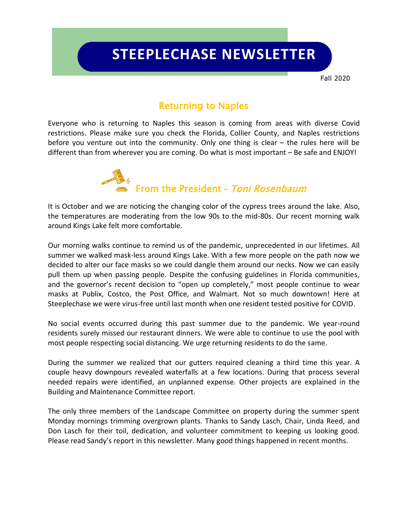# **STEEPLECHASE NEWSLETTER**

Fall 2020

### Returning to Naples

Everyone who is returning to Naples this season is coming from areas with diverse Covid restrictions. Please make sure you check the Florida, Collier County, and Naples restrictions before you venture out into the community. Only one thing is clear – the rules here will be different than from wherever you are coming. Do what is most important – Be safe and ENJOY!



It is October and we are noticing the changing color of the cypress trees around the lake. Also, the temperatures are moderating from the low 90s to the mid-80s. Our recent morning walk around Kings Lake felt more comfortable.

Our morning walks continue to remind us of the pandemic, unprecedented in our lifetimes. All summer we walked mask-less around Kings Lake. With a few more people on the path now we decided to alter our face masks so we could dangle them around our necks. Now we can easily pull them up when passing people. Despite the confusing guidelines in Florida communities, and the governor's recent decision to "open up completely," most people continue to wear masks at Publix, Costco, the Post Office, and Walmart. Not so much downtown! Here at Steeplechase we were virus-free until last month when one resident tested positive for COVID.

No social events occurred during this past summer due to the pandemic. We year-round residents surely missed our restaurant dinners. We were able to continue to use the pool with most people respecting social distancing. We urge returning residents to do the same.

During the summer we realized that our gutters required cleaning a third time this year. A couple heavy downpours revealed waterfalls at a few locations. During that process several needed repairs were identified, an unplanned expense. Other projects are explained in the Building and Maintenance Committee report.

The only three members of the Landscape Committee on property during the summer spent Monday mornings trimming overgrown plants. Thanks to Sandy Lasch, Chair, Linda Reed, and Don Lasch for their toil, dedication, and volunteer commitment to keeping us looking good. Please read Sandy's report in this newsletter. Many good things happened in recent months.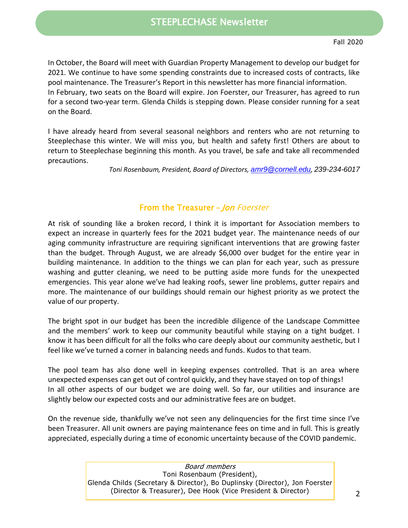In October, the Board will meet with Guardian Property Management to develop our budget for 2021. We continue to have some spending constraints due to increased costs of contracts, like pool maintenance. The Treasurer's Report in this newsletter has more financial information. In February, two seats on the Board will expire. Jon Foerster, our Treasurer, has agreed to run for a second two-year term. Glenda Childs is stepping down. Please consider running for a seat on the Board.

I have already heard from several seasonal neighbors and renters who are not returning to Steeplechase this winter. We will miss you, but health and safety first! Others are about to return to Steeplechase beginning this month. As you travel, be safe and take all recommended precautions.

*Toni Rosenbaum, President, Board of Directors, [amr9@cornell.edu](mailto:amr9@cornell.edu), 239-234-6017*

#### From the Treasurer **–** Jon Foerster

At risk of sounding like a broken record, I think it is important for Association members to expect an increase in quarterly fees for the 2021 budget year. The maintenance needs of our aging community infrastructure are requiring significant interventions that are growing faster than the budget. Through August, we are already \$6,000 over budget for the entire year in building maintenance. In addition to the things we can plan for each year, such as pressure washing and gutter cleaning, we need to be putting aside more funds for the unexpected emergencies. This year alone we've had leaking roofs, sewer line problems, gutter repairs and more. The maintenance of our buildings should remain our highest priority as we protect the value of our property.

The bright spot in our budget has been the incredible diligence of the Landscape Committee and the members' work to keep our community beautiful while staying on a tight budget. I know it has been difficult for all the folks who care deeply about our community aesthetic, but I feel like we've turned a corner in balancing needs and funds. Kudos to that team.

The pool team has also done well in keeping expenses controlled. That is an area where unexpected expenses can get out of control quickly, and they have stayed on top of things! In all other aspects of our budget we are doing well. So far, our utilities and insurance are slightly below our expected costs and our administrative fees are on budget.

On the revenue side, thankfully we've not seen any delinquencies for the first time since I've been Treasurer. All unit owners are paying maintenance fees on time and in full. This is greatly appreciated, especially during a time of economic uncertainty because of the COVID pandemic.

> Board members Toni Rosenbaum (President), Glenda Childs (Secretary & Director), Bo Duplinsky (Director), Jon Foerster (Director & Treasurer), Dee Hook (Vice President & Director)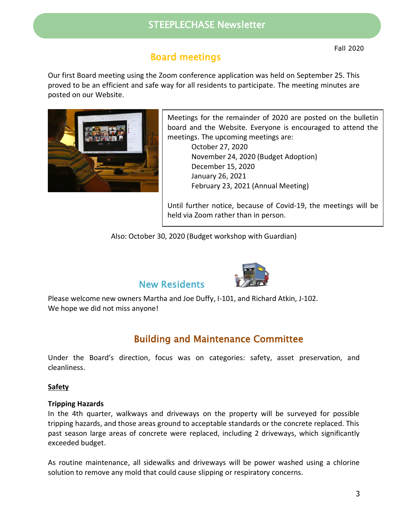### STEEPLECHASE Newsletter

# Board meetings

Our first Board meeting using the Zoom conference application was held on September 25. This proved to be an efficient and safe way for all residents to participate. The meeting minutes are posted on our Website.



Meetings for the remainder of 2020 are posted on the bulletin board and the Website. Everyone is encouraged to attend the meetings. The upcoming meetings are:

> October 27, 2020 November 24, 2020 (Budget Adoption) December 15, 2020 January 26, 2021 February 23, 2021 (Annual Meeting)

Until further notice, because of Covid-19, the meetings will be held via Zoom rather than in person.

Also: October 30, 2020 (Budget workshop with Guardian)



## New Residents

Please welcome new owners Martha and Joe Duffy, I-101, and Richard Atkin, J-102. We hope we did not miss anyone!

# Building and Maintenance Committee

Under the Board's direction, focus was on categories: safety, asset preservation, and cleanliness.

#### **Safety**

#### **Tripping Hazards**

In the 4th quarter, walkways and driveways on the property will be surveyed for possible tripping hazards, and those areas ground to acceptable standards or the concrete replaced. This past season large areas of concrete were replaced, including 2 driveways, which significantly exceeded budget.

As routine maintenance, all sidewalks and driveways will be power washed using a chlorine solution to remove any mold that could cause slipping or respiratory concerns.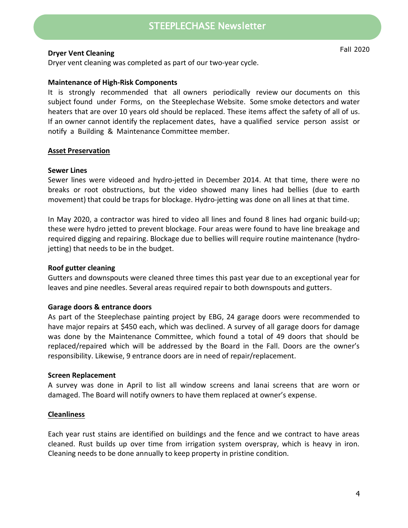### STEEPLECHASE Newsletter

#### **Dryer Vent Cleaning**

Dryer vent cleaning was completed as part of our two-year cycle.

#### **Maintenance of High-Risk Components**

It is strongly recommended that all owners periodically review our documents on this subject found under Forms, on the Steeplechase Website. Some smoke detectors and water heaters that are over 10 years old should be replaced. These items affect the safety of all of us. If an owner cannot identify the replacement dates, have a qualified service person assist or notify a Building & Maintenance Committee member.

#### **Asset Preservation**

#### **Sewer Lines**

Sewer lines were videoed and hydro-jetted in December 2014. At that time, there were no breaks or root obstructions, but the video showed many lines had bellies (due to earth movement) that could be traps for blockage. Hydro-jetting was done on all lines at that time.

In May 2020, a contractor was hired to video all lines and found 8 lines had organic build-up; these were hydro jetted to prevent blockage. Four areas were found to have line breakage and required digging and repairing. Blockage due to bellies will require routine maintenance (hydrojetting) that needs to be in the budget.

#### **Roof gutter cleaning**

Gutters and downspouts were cleaned three times this past year due to an exceptional year for leaves and pine needles. Several areas required repair to both downspouts and gutters.

#### **Garage doors & entrance doors**

As part of the Steeplechase painting project by EBG, 24 garage doors were recommended to have major repairs at \$450 each, which was declined. A survey of all garage doors for damage was done by the Maintenance Committee, which found a total of 49 doors that should be replaced/repaired which will be addressed by the Board in the Fall. Doors are the owner's responsibility. Likewise, 9 entrance doors are in need of repair/replacement.

#### **Screen Replacement**

A survey was done in April to list all window screens and lanai screens that are worn or damaged. The Board will notify owners to have them replaced at owner's expense.

#### **Cleanliness**

Each year rust stains are identified on buildings and the fence and we contract to have areas cleaned. Rust builds up over time from irrigation system overspray, which is heavy in iron. Cleaning needs to be done annually to keep property in pristine condition.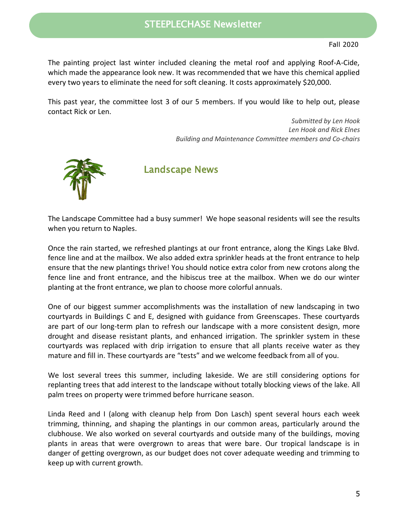The painting project last winter included cleaning the metal roof and applying Roof-A-Cide, which made the appearance look new. It was recommended that we have this chemical applied every two years to eliminate the need for soft cleaning. It costs approximately \$20,000.

This past year, the committee lost 3 of our 5 members. If you would like to help out, please contact Rick or Len.

> *Submitted by Len Hook Len Hook and Rick Elnes Building and Maintenance Committee members and Co-chairs*



Landscape News

The Landscape Committee had a busy summer! We hope seasonal residents will see the results when you return to Naples.

Once the rain started, we refreshed plantings at our front entrance, along the Kings Lake Blvd. fence line and at the mailbox. We also added extra sprinkler heads at the front entrance to help ensure that the new plantings thrive! You should notice extra color from new crotons along the fence line and front entrance, and the hibiscus tree at the mailbox. When we do our winter planting at the front entrance, we plan to choose more colorful annuals.

One of our biggest summer accomplishments was the installation of new landscaping in two courtyards in Buildings C and E, designed with guidance from Greenscapes. These courtyards are part of our long-term plan to refresh our landscape with a more consistent design, more drought and disease resistant plants, and enhanced irrigation. The sprinkler system in these courtyards was replaced with drip irrigation to ensure that all plants receive water as they mature and fill in. These courtyards are "tests" and we welcome feedback from all of you.

We lost several trees this summer, including lakeside. We are still considering options for replanting trees that add interest to the landscape without totally blocking views of the lake. All palm trees on property were trimmed before hurricane season.

Linda Reed and I (along with cleanup help from Don Lasch) spent several hours each week trimming, thinning, and shaping the plantings in our common areas, particularly around the clubhouse. We also worked on several courtyards and outside many of the buildings, moving plants in areas that were overgrown to areas that were bare. Our tropical landscape is in danger of getting overgrown, as our budget does not cover adequate weeding and trimming to keep up with current growth.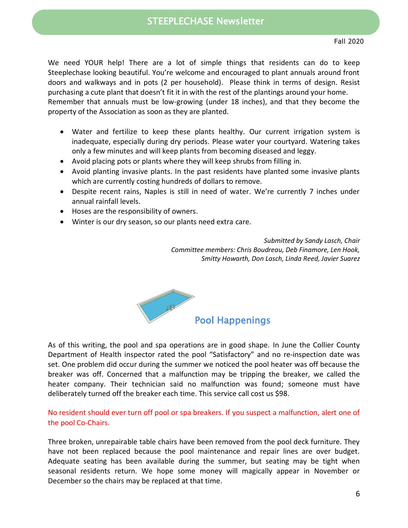We need YOUR help! There are a lot of simple things that residents can do to keep Steeplechase looking beautiful. You're welcome and encouraged to plant annuals around front doors and walkways and in pots (2 per household). Please think in terms of design. Resist purchasing a cute plant that doesn't fit it in with the rest of the plantings around your home. Remember that annuals must be low-growing (under 18 inches), and that they become the property of the Association as soon as they are planted.

- Water and fertilize to keep these plants healthy. Our current irrigation system is inadequate, especially during dry periods. Please water your courtyard. Watering takes only a few minutes and will keep plants from becoming diseased and leggy.
- Avoid placing pots or plants where they will keep shrubs from filling in.
- Avoid planting invasive plants. In the past residents have planted some invasive plants which are currently costing hundreds of dollars to remove.
- Despite recent rains, Naples is still in need of water. We're currently 7 inches under annual rainfall levels.
- Hoses are the responsibility of owners.
- Winter is our dry season, so our plants need extra care.

*Submitted by Sandy Lasch, Chair Committee members: Chris Boudreau, Deb Finamore, Len Hook, Smitty Howarth, Don Lasch, Linda Reed, Javier Suarez*



As of this writing, the pool and spa operations are in good shape. In June the Collier County Department of Health inspector rated the pool "Satisfactory" and no re-inspection date was set. One problem did occur during the summer we noticed the pool heater was off because the breaker was off. Concerned that a malfunction may be tripping the breaker, we called the heater company. Their technician said no malfunction was found; someone must have deliberately turned off the breaker each time. This service call cost us \$98.

No resident should ever turn off pool or spa breakers. If you suspect a malfunction, alert one of the pool Co-Chairs.

Three broken, unrepairable table chairs have been removed from the pool deck furniture. They have not been replaced because the pool maintenance and repair lines are over budget. Adequate seating has been available during the summer, but seating may be tight when seasonal residents return. We hope some money will magically appear in November or December so the chairs may be replaced at that time.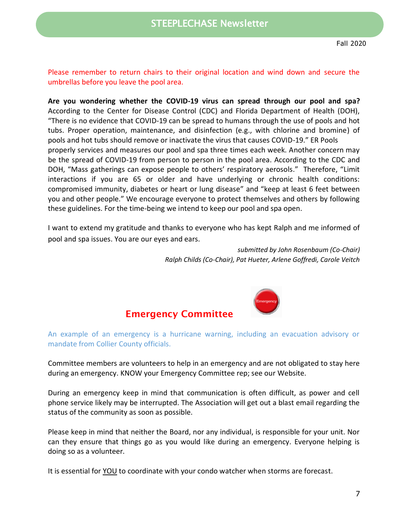Please remember to return chairs to their original location and wind down and secure the umbrellas before you leave the pool area.

**Are you wondering whether the COVID-19 virus can spread through our pool and spa?** According to the Center for Disease Control (CDC) and Florida Department of Health (DOH), "There is no evidence that COVID-19 can be spread to humans through the use of pools and hot tubs. Proper operation, maintenance, and disinfection (e.g., with chlorine and bromine) of pools and hot tubs should remove or inactivate the virus that causes COVID-19." ER Pools properly services and measures our pool and spa three times each week. Another concern may be the spread of COVID-19 from person to person in the pool area. According to the CDC and DOH, "Mass gatherings can expose people to others' respiratory aerosols." Therefore, "Limit interactions if you are 65 or older and have underlying or chronic health conditions: compromised immunity, diabetes or heart or lung disease" and "keep at least 6 feet between you and other people." We encourage everyone to protect themselves and others by following these guidelines. For the time-being we intend to keep our pool and spa open.

I want to extend my gratitude and thanks to everyone who has kept Ralph and me informed of pool and spa issues. You are our eyes and ears.

> *submitted by John Rosenbaum (Co-Chair) Ralph Childs (Co-Chair), Pat Hueter, Arlene Goffredi, Carole Veitch*



### **Emergency Committee**

An example of an emergency is a hurricane warning, including an evacuation advisory or mandate from Collier County officials.

Committee members are volunteers to help in an emergency and are not obligated to stay here during an emergency. KNOW your Emergency Committee rep; see our Website.

During an emergency keep in mind that communication is often difficult, as power and cell phone service likely may be interrupted. The Association will get out a blast email regarding the status of the community as soon as possible.

Please keep in mind that neither the Board, nor any individual, is responsible for your unit. Nor can they ensure that things go as you would like during an emergency. Everyone helping is doing so as a volunteer.

It is essential for YOU to coordinate with your condo watcher when storms are forecast.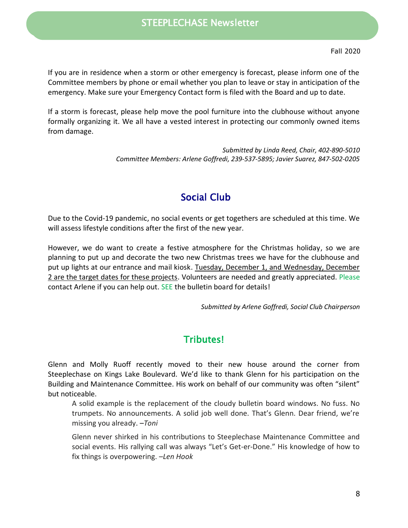If you are in residence when a storm or other emergency is forecast, please inform one of the Committee members by phone or email whether you plan to leave or stay in anticipation of the emergency. Make sure your Emergency Contact form is filed with the Board and up to date.

If a storm is forecast, please help move the pool furniture into the clubhouse without anyone formally organizing it. We all have a vested interest in protecting our commonly owned items from damage.

> *Submitted by Linda Reed, Chair, 402-890-5010 Committee Members: Arlene Goffredi, 239-537-5895; Javier Suarez, 847-502-0205*

# Social Club

Due to the Covid-19 pandemic, no social events or get togethers are scheduled at this time. We will assess lifestyle conditions after the first of the new year.

However, we do want to create a festive atmosphere for the Christmas holiday, so we are planning to put up and decorate the two new Christmas trees we have for the clubhouse and put up lights at our entrance and mail kiosk. Tuesday, December 1, and Wednesday, December 2 are the target dates for these projects. Volunteers are needed and greatly appreciated. Please contact Arlene if you can help out. SEE the bulletin board for details!

*Submitted by Arlene Goffredi, Social Club Chairperson*

# Tributes!

Glenn and Molly Ruoff recently moved to their new house around the corner from Steeplechase on Kings Lake Boulevard. We'd like to thank Glenn for his participation on the Building and Maintenance Committee. His work on behalf of our community was often "silent" but noticeable.

A solid example is the replacement of the cloudy bulletin board windows. No fuss. No trumpets. No announcements. A solid job well done. That's Glenn. Dear friend, we're missing you already. *–Toni*

Glenn never shirked in his contributions to Steeplechase Maintenance Committee and social events. His rallying call was always "Let's Get-er-Done." His knowledge of how to fix things is overpowering. –*Len Hook*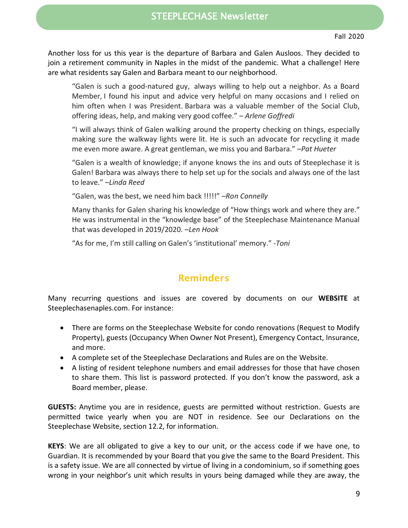Another loss for us this year is the departure of Barbara and Galen Ausloos. They decided to join a retirement community in Naples in the midst of the pandemic. What a challenge! Here are what residents say Galen and Barbara meant to our neighborhood.

"Galen is such a good-natured guy, always willing to help out a neighbor. As a Board Member, I found his input and advice very helpful on many occasions and I relied on him often when I was President. Barbara was a valuable member of the Social Club, offering ideas, help, and making very good coffee." – *Arlene Goffredi*

"I will always think of Galen walking around the property checking on things, especially making sure the walkway lights were lit. He is such an advocate for recycling it made me even more aware. A great gentleman, we miss you and Barbara." –*Pat Hueter*

"Galen is a wealth of knowledge; if anyone knows the ins and outs of Steeplechase it is Galen! Barbara was always there to help set up for the socials and always one of the last to leave." *–Linda Reed*

"Galen, was the best, we need him back !!!!!" *–Ron Connelly*

Many thanks for Galen sharing his knowledge of "How things work and where they are." He was instrumental in the "knowledge base" of the Steeplechase Maintenance Manual that was developed in 2019/2020. –*Len Hook*

"As for me, I'm still calling on Galen's 'institutional' memory." -*Toni*

### **Reminders**

Many recurring questions and issues are covered by documents on our **WEBSITE** at Steeplechasenaples.com. For instance:

- There are forms on the Steeplechase Website for condo renovations (Request to Modify Property), guests (Occupancy When Owner Not Present), Emergency Contact, Insurance, and more.
- A complete set of the Steeplechase Declarations and Rules are on the Website.
- A listing of resident telephone numbers and email addresses for those that have chosen to share them. This list is password protected. If you don't know the password, ask a Board member, please.

**GUESTS:** Anytime you are in residence, guests are permitted without restriction. Guests are permitted twice yearly when you are NOT in residence. See our Declarations on the Steeplechase Website, section 12.2, for information.

**KEYS**: We are all obligated to give a key to our unit, or the access code if we have one, to Guardian. It is recommended by your Board that you give the same to the Board President. This is a safety issue. We are all connected by virtue of living in a condominium, so if something goes wrong in your neighbor's unit which results in yours being damaged while they are away, the